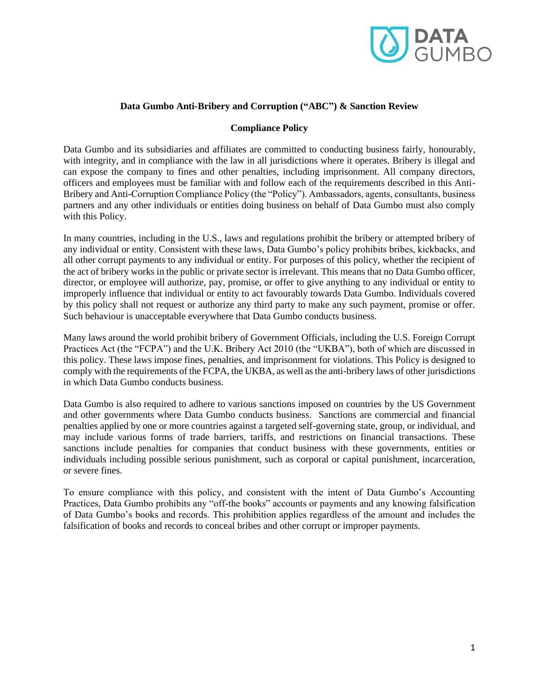

## **Data Gumbo Anti-Bribery and Corruption ("ABC") & Sanction Review**

### **Compliance Policy**

Data Gumbo and its subsidiaries and affiliates are committed to conducting business fairly, honourably, with integrity, and in compliance with the law in all jurisdictions where it operates. Bribery is illegal and can expose the company to fines and other penalties, including imprisonment. All company directors, officers and employees must be familiar with and follow each of the requirements described in this Anti-Bribery and Anti-Corruption Compliance Policy (the "Policy"). Ambassadors, agents, consultants, business partners and any other individuals or entities doing business on behalf of Data Gumbo must also comply with this Policy.

In many countries, including in the U.S., laws and regulations prohibit the bribery or attempted bribery of any individual or entity. Consistent with these laws, Data Gumbo's policy prohibits bribes, kickbacks, and all other corrupt payments to any individual or entity. For purposes of this policy, whether the recipient of the act of bribery works in the public or private sector is irrelevant. This means that no Data Gumbo officer, director, or employee will authorize, pay, promise, or offer to give anything to any individual or entity to improperly influence that individual or entity to act favourably towards Data Gumbo. Individuals covered by this policy shall not request or authorize any third party to make any such payment, promise or offer. Such behaviour is unacceptable everywhere that Data Gumbo conducts business.

Many laws around the world prohibit bribery of Government Officials, including the U.S. Foreign Corrupt Practices Act (the "FCPA") and the U.K. Bribery Act 2010 (the "UKBA"), both of which are discussed in this policy. These laws impose fines, penalties, and imprisonment for violations. This Policy is designed to comply with the requirements of the FCPA, the UKBA, as well as the anti-bribery laws of other jurisdictions in which Data Gumbo conducts business.

Data Gumbo is also required to adhere to various sanctions imposed on countries by the US Government and other governments where Data Gumbo conducts business. Sanctions are commercial and financial penalties applied by one or more countries against a targeted self-governing state, group, or individual, and may include various forms of trade barriers, tariffs, and restrictions on financial transactions. These sanctions include penalties for companies that conduct business with these governments, entities or individuals including possible serious punishment, such as corporal or capital punishment, incarceration, or severe fines.

To ensure compliance with this policy, and consistent with the intent of Data Gumbo's Accounting Practices, Data Gumbo prohibits any "off-the books" accounts or payments and any knowing falsification of Data Gumbo's books and records. This prohibition applies regardless of the amount and includes the falsification of books and records to conceal bribes and other corrupt or improper payments.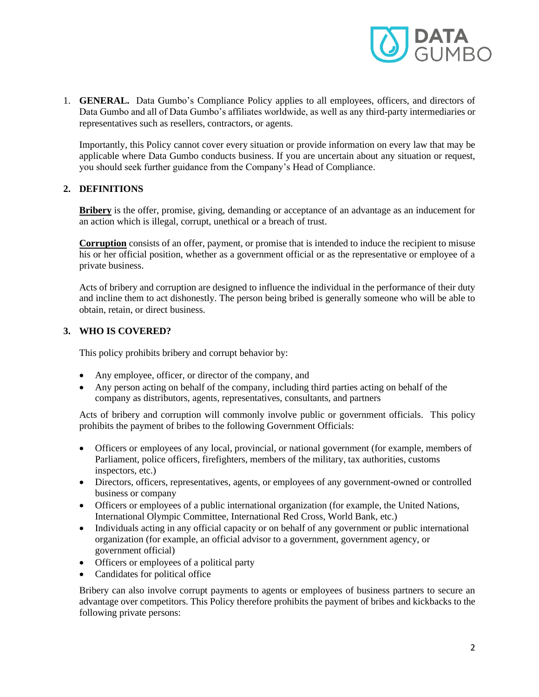

1. **GENERAL.** Data Gumbo's Compliance Policy applies to all employees, officers, and directors of Data Gumbo and all of Data Gumbo's affiliates worldwide, as well as any third-party intermediaries or representatives such as resellers, contractors, or agents.

Importantly, this Policy cannot cover every situation or provide information on every law that may be applicable where Data Gumbo conducts business. If you are uncertain about any situation or request, you should seek further guidance from the Company's Head of Compliance.

### **2. DEFINITIONS**

**Bribery** is the offer, promise, giving, demanding or acceptance of an advantage as an inducement for an action which is illegal, corrupt, unethical or a breach of trust.

**Corruption** consists of an offer, payment, or promise that is intended to induce the recipient to misuse his or her official position, whether as a government official or as the representative or employee of a private business.

Acts of bribery and corruption are designed to influence the individual in the performance of their duty and incline them to act dishonestly. The person being bribed is generally someone who will be able to obtain, retain, or direct business.

### **3. WHO IS COVERED?**

This policy prohibits bribery and corrupt behavior by:

- Any employee, officer, or director of the company, and
- Any person acting on behalf of the company, including third parties acting on behalf of the company as distributors, agents, representatives, consultants, and partners

Acts of bribery and corruption will commonly involve public or government officials. This policy prohibits the payment of bribes to the following Government Officials:

- Officers or employees of any local, provincial, or national government (for example, members of Parliament, police officers, firefighters, members of the military, tax authorities, customs inspectors, etc.)
- Directors, officers, representatives, agents, or employees of any government-owned or controlled business or company
- Officers or employees of a public international organization (for example, the United Nations, International Olympic Committee, International Red Cross, World Bank, etc.)
- Individuals acting in any official capacity or on behalf of any government or public international organization (for example, an official advisor to a government, government agency, or government official)
- Officers or employees of a political party
- Candidates for political office

Bribery can also involve corrupt payments to agents or employees of business partners to secure an advantage over competitors. This Policy therefore prohibits the payment of bribes and kickbacks to the following private persons: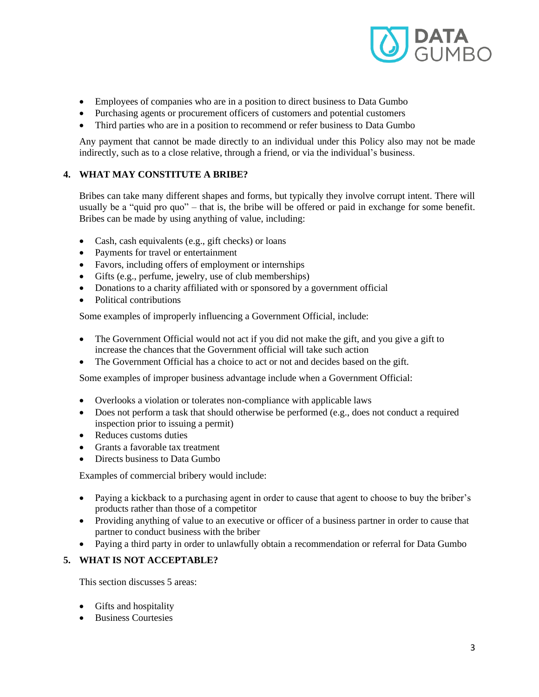

- Employees of companies who are in a position to direct business to Data Gumbo
- Purchasing agents or procurement officers of customers and potential customers
- Third parties who are in a position to recommend or refer business to Data Gumbo

Any payment that cannot be made directly to an individual under this Policy also may not be made indirectly, such as to a close relative, through a friend, or via the individual's business.

# **4. WHAT MAY CONSTITUTE A BRIBE?**

Bribes can take many different shapes and forms, but typically they involve corrupt intent. There will usually be a "quid pro quo" – that is, the bribe will be offered or paid in exchange for some benefit. Bribes can be made by using anything of value, including:

- Cash, cash equivalents (e.g., gift checks) or loans
- Payments for travel or entertainment
- Favors, including offers of employment or internships
- Gifts (e.g., perfume, jewelry, use of club memberships)
- Donations to a charity affiliated with or sponsored by a government official
- Political contributions

Some examples of improperly influencing a Government Official, include:

- The Government Official would not act if you did not make the gift, and you give a gift to increase the chances that the Government official will take such action
- The Government Official has a choice to act or not and decides based on the gift.

Some examples of improper business advantage include when a Government Official:

- Overlooks a violation or tolerates non-compliance with applicable laws
- Does not perform a task that should otherwise be performed (e.g., does not conduct a required inspection prior to issuing a permit)
- Reduces customs duties
- Grants a favorable tax treatment
- Directs business to Data Gumbo

Examples of commercial bribery would include:

- Paying a kickback to a purchasing agent in order to cause that agent to choose to buy the briber's products rather than those of a competitor
- Providing anything of value to an executive or officer of a business partner in order to cause that partner to conduct business with the briber
- Paying a third party in order to unlawfully obtain a recommendation or referral for Data Gumbo

### **5. WHAT IS NOT ACCEPTABLE?**

This section discusses 5 areas:

- Gifts and hospitality
- Business Courtesies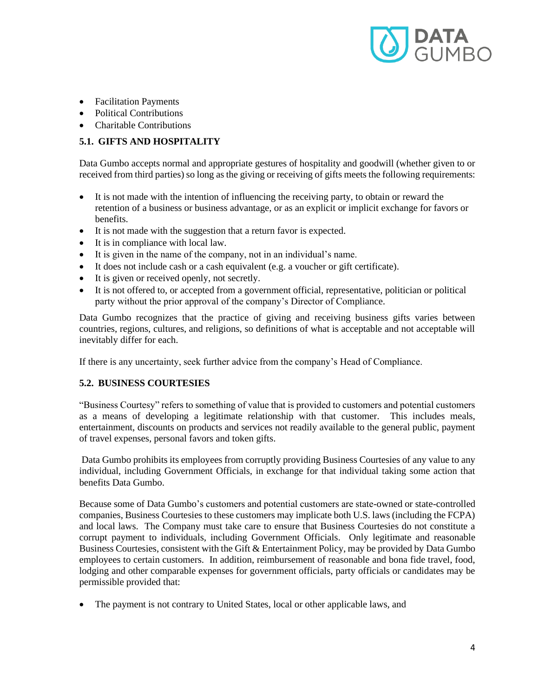

- Facilitation Payments
- Political Contributions
- Charitable Contributions

# **5.1. GIFTS AND HOSPITALITY**

Data Gumbo accepts normal and appropriate gestures of hospitality and goodwill (whether given to or received from third parties) so long as the giving or receiving of gifts meets the following requirements:

- It is not made with the intention of influencing the receiving party, to obtain or reward the retention of a business or business advantage, or as an explicit or implicit exchange for favors or benefits.
- It is not made with the suggestion that a return favor is expected.
- It is in compliance with local law.
- It is given in the name of the company, not in an individual's name.
- It does not include cash or a cash equivalent (e.g. a voucher or gift certificate).
- It is given or received openly, not secretly.
- It is not offered to, or accepted from a government official, representative, politician or political party without the prior approval of the company's Director of Compliance.

Data Gumbo recognizes that the practice of giving and receiving business gifts varies between countries, regions, cultures, and religions, so definitions of what is acceptable and not acceptable will inevitably differ for each.

If there is any uncertainty, seek further advice from the company's Head of Compliance.

### **5.2. BUSINESS COURTESIES**

"Business Courtesy" refers to something of value that is provided to customers and potential customers as a means of developing a legitimate relationship with that customer. This includes meals, entertainment, discounts on products and services not readily available to the general public, payment of travel expenses, personal favors and token gifts.

Data Gumbo prohibits its employees from corruptly providing Business Courtesies of any value to any individual, including Government Officials, in exchange for that individual taking some action that benefits Data Gumbo.

Because some of Data Gumbo's customers and potential customers are state-owned or state-controlled companies, Business Courtesies to these customers may implicate both U.S. laws (including the FCPA) and local laws. The Company must take care to ensure that Business Courtesies do not constitute a corrupt payment to individuals, including Government Officials. Only legitimate and reasonable Business Courtesies, consistent with the Gift & Entertainment Policy, may be provided by Data Gumbo employees to certain customers. In addition, reimbursement of reasonable and bona fide travel, food, lodging and other comparable expenses for government officials, party officials or candidates may be permissible provided that:

• The payment is not contrary to United States, local or other applicable laws, and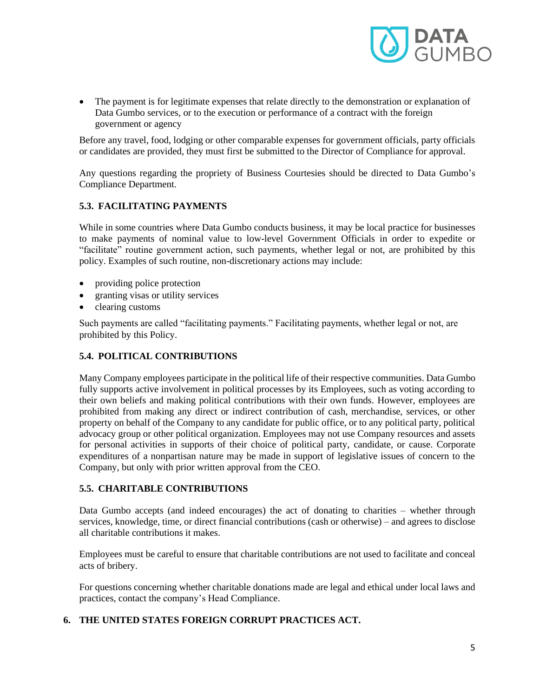

• The payment is for legitimate expenses that relate directly to the demonstration or explanation of Data Gumbo services, or to the execution or performance of a contract with the foreign government or agency

Before any travel, food, lodging or other comparable expenses for government officials, party officials or candidates are provided, they must first be submitted to the Director of Compliance for approval.

Any questions regarding the propriety of Business Courtesies should be directed to Data Gumbo's Compliance Department.

# **5.3. FACILITATING PAYMENTS**

While in some countries where Data Gumbo conducts business, it may be local practice for businesses to make payments of nominal value to low-level Government Officials in order to expedite or "facilitate" routine government action, such payments, whether legal or not, are prohibited by this policy. Examples of such routine, non-discretionary actions may include:

- providing police protection
- granting visas or utility services
- clearing customs

Such payments are called "facilitating payments." Facilitating payments, whether legal or not, are prohibited by this Policy.

### **5.4. POLITICAL CONTRIBUTIONS**

Many Company employees participate in the political life of their respective communities. Data Gumbo fully supports active involvement in political processes by its Employees, such as voting according to their own beliefs and making political contributions with their own funds. However, employees are prohibited from making any direct or indirect contribution of cash, merchandise, services, or other property on behalf of the Company to any candidate for public office, or to any political party, political advocacy group or other political organization. Employees may not use Company resources and assets for personal activities in supports of their choice of political party, candidate, or cause. Corporate expenditures of a nonpartisan nature may be made in support of legislative issues of concern to the Company, but only with prior written approval from the CEO.

### **5.5. CHARITABLE CONTRIBUTIONS**

Data Gumbo accepts (and indeed encourages) the act of donating to charities – whether through services, knowledge, time, or direct financial contributions (cash or otherwise) – and agrees to disclose all charitable contributions it makes.

Employees must be careful to ensure that charitable contributions are not used to facilitate and conceal acts of bribery.

For questions concerning whether charitable donations made are legal and ethical under local laws and practices, contact the company's Head Compliance.

## **6. THE UNITED STATES FOREIGN CORRUPT PRACTICES ACT.**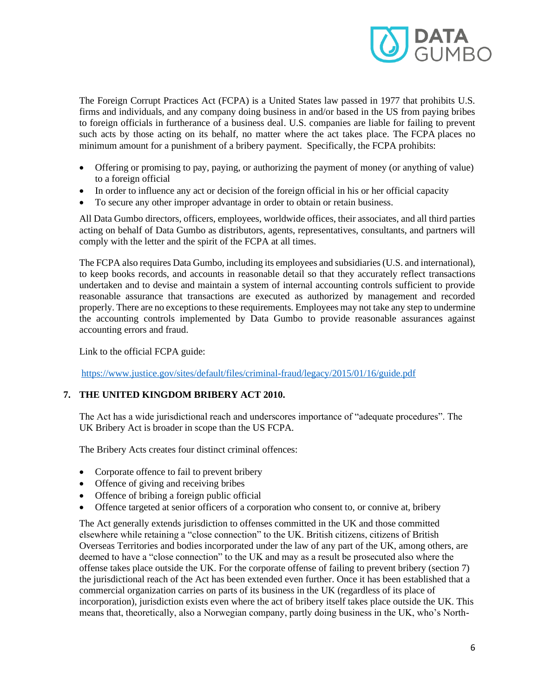

The Foreign Corrupt Practices Act (FCPA) is a United States law passed in 1977 that prohibits U.S. firms and individuals, and any company doing business in and/or based in the US from paying bribes to foreign officials in furtherance of a business deal. U.S. companies are liable for failing to prevent such acts by those acting on its behalf, no matter where the act takes place. The FCPA places no minimum amount for a punishment of a bribery payment. Specifically, the FCPA prohibits:

- Offering or promising to pay, paying, or authorizing the payment of money (or anything of value) to a foreign official
- In order to influence any act or decision of the foreign official in his or her official capacity
- To secure any other improper advantage in order to obtain or retain business.

All Data Gumbo directors, officers, employees, worldwide offices, their associates, and all third parties acting on behalf of Data Gumbo as distributors, agents, representatives, consultants, and partners will comply with the letter and the spirit of the FCPA at all times.

The FCPA also requires Data Gumbo, including its employees and subsidiaries (U.S. and international), to keep books records, and accounts in reasonable detail so that they accurately reflect transactions undertaken and to devise and maintain a system of internal accounting controls sufficient to provide reasonable assurance that transactions are executed as authorized by management and recorded properly. There are no exceptions to these requirements. Employees may not take any step to undermine the accounting controls implemented by Data Gumbo to provide reasonable assurances against accounting errors and fraud.

Link to the official FCPA guide:

[https://www.justice.gov/sites/default/files/criminal-fraud/legacy/2015/01/16/guide.pdf](about:blank)

# **7. THE UNITED KINGDOM BRIBERY ACT 2010.**

The Act has a wide jurisdictional reach and underscores importance of "adequate procedures". The UK Bribery Act is broader in scope than the US FCPA.

The Bribery Acts creates four distinct criminal offences:

- Corporate offence to fail to prevent bribery
- Offence of giving and receiving bribes
- Offence of bribing a foreign public official
- Offence targeted at senior officers of a corporation who consent to, or connive at, bribery

The Act generally extends jurisdiction to offenses committed in the UK and those committed elsewhere while retaining a "close connection" to the UK. British citizens, citizens of British Overseas Territories and bodies incorporated under the law of any part of the UK, among others, are deemed to have a "close connection" to the UK and may as a result be prosecuted also where the offense takes place outside the UK. For the corporate offense of failing to prevent bribery (section 7) the jurisdictional reach of the Act has been extended even further. Once it has been established that a commercial organization carries on parts of its business in the UK (regardless of its place of incorporation), jurisdiction exists even where the act of bribery itself takes place outside the UK. This means that, theoretically, also a Norwegian company, partly doing business in the UK, who's North-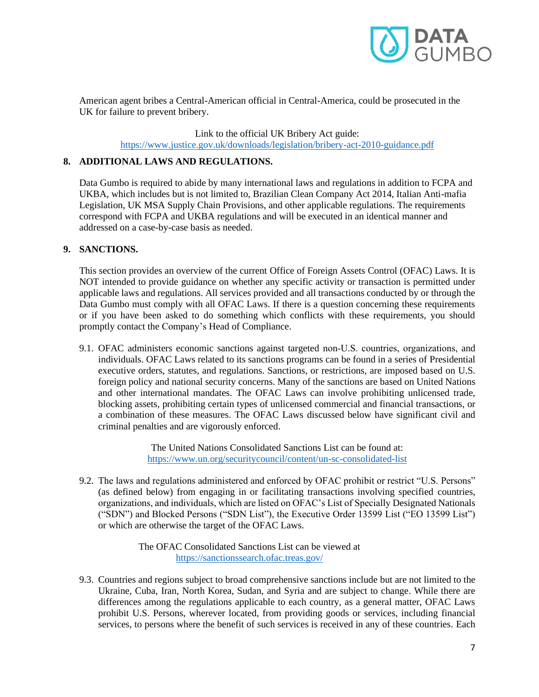

American agent bribes a Central-American official in Central-America, could be prosecuted in the UK for failure to prevent bribery.

> Link to the official UK Bribery Act guide: [https://www.justice.gov.uk/downloads/legislation/bribery-act-2010-guidance.pdf](about:blank)

### **8. ADDITIONAL LAWS AND REGULATIONS.**

Data Gumbo is required to abide by many international laws and regulations in addition to FCPA and UKBA, which includes but is not limited to, Brazilian Clean Company Act 2014, Italian Anti-mafia Legislation, UK MSA Supply Chain Provisions, and other applicable regulations. The requirements correspond with FCPA and UKBA regulations and will be executed in an identical manner and addressed on a case-by-case basis as needed.

### **9. SANCTIONS.**

This section provides an overview of the current Office of Foreign Assets Control (OFAC) Laws. It is NOT intended to provide guidance on whether any specific activity or transaction is permitted under applicable laws and regulations. All services provided and all transactions conducted by or through the Data Gumbo must comply with all OFAC Laws. If there is a question concerning these requirements or if you have been asked to do something which conflicts with these requirements, you should promptly contact the Company's Head of Compliance.

9.1. OFAC administers economic sanctions against targeted non‐U.S. countries, organizations, and individuals. OFAC Laws related to its sanctions programs can be found in a series of Presidential executive orders, statutes, and regulations. Sanctions, or restrictions, are imposed based on U.S. foreign policy and national security concerns. Many of the sanctions are based on United Nations and other international mandates. The OFAC Laws can involve prohibiting unlicensed trade, blocking assets, prohibiting certain types of unlicensed commercial and financial transactions, or a combination of these measures. The OFAC Laws discussed below have significant civil and criminal penalties and are vigorously enforced.

> The United Nations Consolidated Sanctions List can be found at: [https://www.un.org/securitycouncil/content/un-sc-consolidated-list](about:blank)

9.2. The laws and regulations administered and enforced by OFAC prohibit or restrict "U.S. Persons" (as defined below) from engaging in or facilitating transactions involving specified countries, organizations, and individuals, which are listed on OFAC's List of Specially Designated Nationals ("SDN") and Blocked Persons ("SDN List"), the Executive Order 13599 List ("EO 13599 List") or which are otherwise the target of the OFAC Laws.

> The OFAC Consolidated Sanctions List can be viewed at [https://sanctionssearch.ofac.treas.gov/](about:blank)

9.3. Countries and regions subject to broad comprehensive sanctions include but are not limited to the Ukraine, Cuba, Iran, North Korea, Sudan, and Syria and are subject to change. While there are differences among the regulations applicable to each country, as a general matter, OFAC Laws prohibit U.S. Persons, wherever located, from providing goods or services, including financial services, to persons where the benefit of such services is received in any of these countries. Each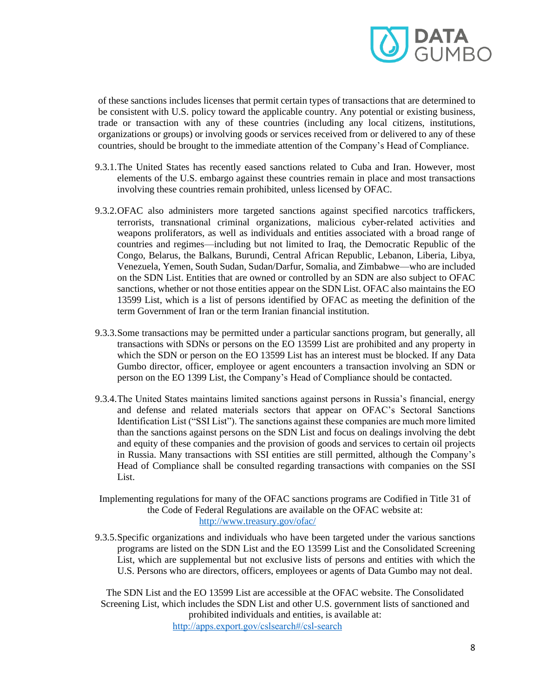

of these sanctions includes licenses that permit certain types of transactions that are determined to be consistent with U.S. policy toward the applicable country. Any potential or existing business, trade or transaction with any of these countries (including any local citizens, institutions, organizations or groups) or involving goods or services received from or delivered to any of these countries, should be brought to the immediate attention of the Company's Head of Compliance.

- 9.3.1.The United States has recently eased sanctions related to Cuba and Iran. However, most elements of the U.S. embargo against these countries remain in place and most transactions involving these countries remain prohibited, unless licensed by OFAC.
- 9.3.2.OFAC also administers more targeted sanctions against specified narcotics traffickers, terrorists, transnational criminal organizations, malicious cyber-related activities and weapons proliferators, as well as individuals and entities associated with a broad range of countries and regimes—including but not limited to Iraq, the Democratic Republic of the Congo, Belarus, the Balkans, Burundi, Central African Republic, Lebanon, Liberia, Libya, Venezuela, Yemen, South Sudan, Sudan/Darfur, Somalia, and Zimbabwe—who are included on the SDN List. Entities that are owned or controlled by an SDN are also subject to OFAC sanctions, whether or not those entities appear on the SDN List. OFAC also maintains the EO 13599 List, which is a list of persons identified by OFAC as meeting the definition of the term Government of Iran or the term Iranian financial institution.
- 9.3.3.Some transactions may be permitted under a particular sanctions program, but generally, all transactions with SDNs or persons on the EO 13599 List are prohibited and any property in which the SDN or person on the EO 13599 List has an interest must be blocked. If any Data Gumbo director, officer, employee or agent encounters a transaction involving an SDN or person on the EO 1399 List, the Company's Head of Compliance should be contacted.
- 9.3.4.The United States maintains limited sanctions against persons in Russia's financial, energy and defense and related materials sectors that appear on OFAC's Sectoral Sanctions Identification List ("SSI List"). The sanctions against these companies are much more limited than the sanctions against persons on the SDN List and focus on dealings involving the debt and equity of these companies and the provision of goods and services to certain oil projects in Russia. Many transactions with SSI entities are still permitted, although the Company's Head of Compliance shall be consulted regarding transactions with companies on the SSI List.
- Implementing regulations for many of the OFAC sanctions programs are Codified in Title 31 of the Code of Federal Regulations are available on the OFAC website at: [http://www.treasury.gov/ofac/](about:blank)
- 9.3.5.Specific organizations and individuals who have been targeted under the various sanctions programs are listed on the SDN List and the EO 13599 List and the Consolidated Screening List, which are supplemental but not exclusive lists of persons and entities with which the U.S. Persons who are directors, officers, employees or agents of Data Gumbo may not deal.

The SDN List and the EO 13599 List are accessible at the OFAC website. The Consolidated Screening List, which includes the SDN List and other U.S. government lists of sanctioned and prohibited individuals and entities, is available at: [http://apps.export.gov/cslsearch#/csl‐search](about:blank)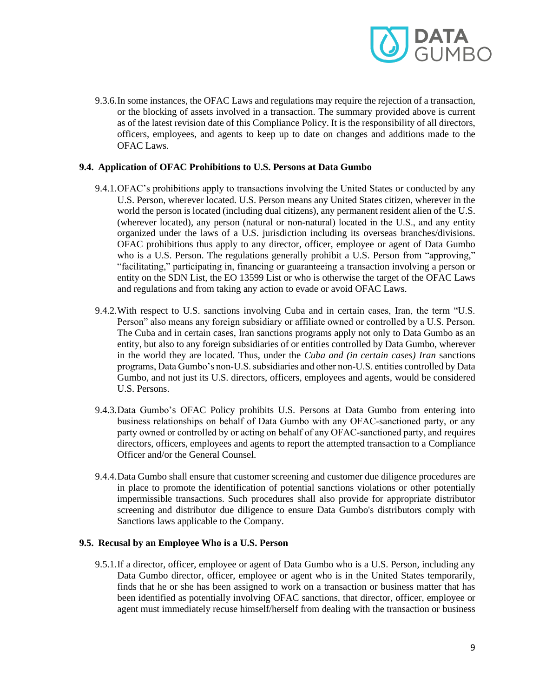

9.3.6.In some instances, the OFAC Laws and regulations may require the rejection of a transaction, or the blocking of assets involved in a transaction. The summary provided above is current as of the latest revision date of this Compliance Policy. It is the responsibility of all directors, officers, employees, and agents to keep up to date on changes and additions made to the OFAC Laws.

### **9.4. Application of OFAC Prohibitions to U.S. Persons at Data Gumbo**

- 9.4.1.OFAC's prohibitions apply to transactions involving the United States or conducted by any U.S. Person, wherever located. U.S. Person means any United States citizen, wherever in the world the person is located (including dual citizens), any permanent resident alien of the U.S. (wherever located), any person (natural or non‐natural) located in the U.S., and any entity organized under the laws of a U.S. jurisdiction including its overseas branches/divisions. OFAC prohibitions thus apply to any director, officer, employee or agent of Data Gumbo who is a U.S. Person. The regulations generally prohibit a U.S. Person from "approving," "facilitating," participating in, financing or guaranteeing a transaction involving a person or entity on the SDN List, the EO 13599 List or who is otherwise the target of the OFAC Laws and regulations and from taking any action to evade or avoid OFAC Laws.
- 9.4.2.With respect to U.S. sanctions involving Cuba and in certain cases, Iran, the term "U.S. Person" also means any foreign subsidiary or affiliate owned or controlled by a U.S. Person. The Cuba and in certain cases, Iran sanctions programs apply not only to Data Gumbo as an entity, but also to any foreign subsidiaries of or entities controlled by Data Gumbo, wherever in the world they are located. Thus, under the *Cuba and (in certain cases) Iran* sanctions programs, Data Gumbo's non‐U.S. subsidiaries and other non‐U.S. entities controlled by Data Gumbo, and not just its U.S. directors, officers, employees and agents, would be considered U.S. Persons.
- 9.4.3.Data Gumbo's OFAC Policy prohibits U.S. Persons at Data Gumbo from entering into business relationships on behalf of Data Gumbo with any OFAC‐sanctioned party, or any party owned or controlled by or acting on behalf of any OFAC‐sanctioned party, and requires directors, officers, employees and agents to report the attempted transaction to a Compliance Officer and/or the General Counsel.
- 9.4.4.Data Gumbo shall ensure that customer screening and customer due diligence procedures are in place to promote the identification of potential sanctions violations or other potentially impermissible transactions. Such procedures shall also provide for appropriate distributor screening and distributor due diligence to ensure Data Gumbo's distributors comply with Sanctions laws applicable to the Company.

### **9.5. Recusal by an Employee Who is a U.S. Person**

9.5.1.If a director, officer, employee or agent of Data Gumbo who is a U.S. Person, including any Data Gumbo director, officer, employee or agent who is in the United States temporarily, finds that he or she has been assigned to work on a transaction or business matter that has been identified as potentially involving OFAC sanctions, that director, officer, employee or agent must immediately recuse himself/herself from dealing with the transaction or business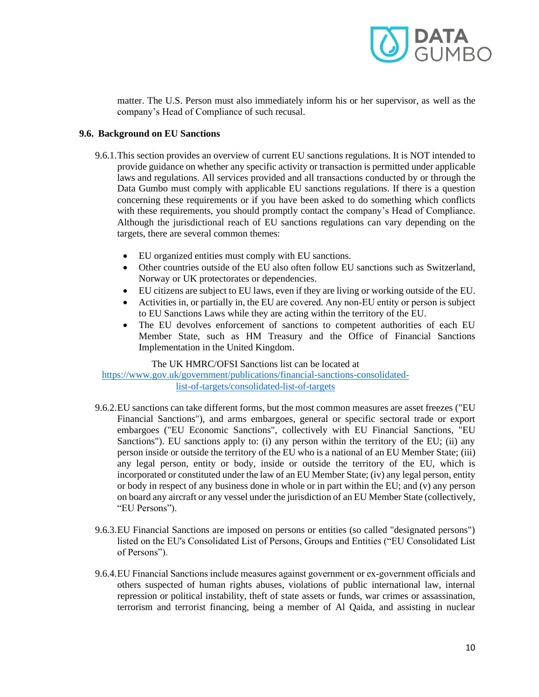

matter. The U.S. Person must also immediately inform his or her supervisor, as well as the company's Head of Compliance of such recusal.

### **9.6. Background on EU Sanctions**

- 9.6.1.This section provides an overview of current EU sanctions regulations. It is NOT intended to provide guidance on whether any specific activity or transaction is permitted under applicable laws and regulations. All services provided and all transactions conducted by or through the Data Gumbo must comply with applicable EU sanctions regulations. If there is a question concerning these requirements or if you have been asked to do something which conflicts with these requirements, you should promptly contact the company's Head of Compliance. Although the jurisdictional reach of EU sanctions regulations can vary depending on the targets, there are several common themes:
	- EU organized entities must comply with EU sanctions.
	- Other countries outside of the EU also often follow EU sanctions such as Switzerland, Norway or UK protectorates or dependencies.
	- EU citizens are subject to EU laws, even if they are living or working outside of the EU.
	- Activities in, or partially in, the EU are covered. Any non-EU entity or person is subject to EU Sanctions Laws while they are acting within the territory of the EU.
	- The EU devolves enforcement of sanctions to competent authorities of each EU Member State, such as HM Treasury and the Office of Financial Sanctions Implementation in the United Kingdom.

### The UK HMRC/OFSI Sanctions list can be located at

[https://www.gov.uk/government/publications/financial-sanctions-consolidated](about:blank)[list-of-targets/consolidated-list-of-targets](about:blank)

- 9.6.2.EU sanctions can take different forms, but the most common measures are asset freezes ("EU Financial Sanctions"), and arms embargoes, general or specific sectoral trade or export embargoes ("EU Economic Sanctions", collectively with EU Financial Sanctions, "EU Sanctions"). EU sanctions apply to: (i) any person within the territory of the EU; (ii) any person inside or outside the territory of the EU who is a national of an EU Member State; (iii) any legal person, entity or body, inside or outside the territory of the EU, which is incorporated or constituted under the law of an EU Member State; (iv) any legal person, entity or body in respect of any business done in whole or in part within the EU; and (v) any person on board any aircraft or any vessel under the jurisdiction of an EU Member State (collectively, "EU Persons").
- 9.6.3.EU Financial Sanctions are imposed on persons or entities (so called "designated persons") listed on the EU's Consolidated List of Persons, Groups and Entities ("EU Consolidated List of Persons").
- 9.6.4.EU Financial Sanctions include measures against government or ex‐government officials and others suspected of human rights abuses, violations of public international law, internal repression or political instability, theft of state assets or funds, war crimes or assassination, terrorism and terrorist financing, being a member of Al Qaida, and assisting in nuclear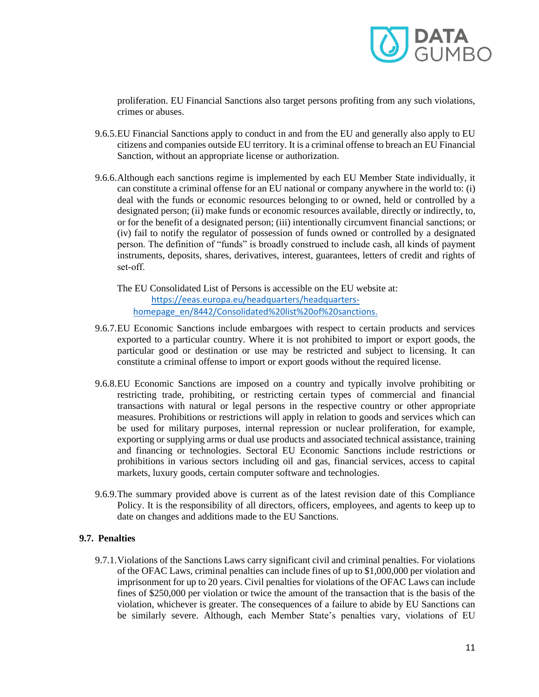

proliferation. EU Financial Sanctions also target persons profiting from any such violations, crimes or abuses.

- 9.6.5.EU Financial Sanctions apply to conduct in and from the EU and generally also apply to EU citizens and companies outside EU territory. It is a criminal offense to breach an EU Financial Sanction, without an appropriate license or authorization.
- 9.6.6.Although each sanctions regime is implemented by each EU Member State individually, it can constitute a criminal offense for an EU national or company anywhere in the world to: (i) deal with the funds or economic resources belonging to or owned, held or controlled by a designated person; (ii) make funds or economic resources available, directly or indirectly, to, or for the benefit of a designated person; (iii) intentionally circumvent financial sanctions; or (iv) fail to notify the regulator of possession of funds owned or controlled by a designated person. The definition of "funds" is broadly construed to include cash, all kinds of payment instruments, deposits, shares, derivatives, interest, guarantees, letters of credit and rights of set‐off.

The EU Consolidated List of Persons is accessible on the EU website at: https://eeas.europa.eu/headquarters/headquartershomepage\_en/8442/Consolidated%20list%20of%20sanctions.

- 9.6.7.EU Economic Sanctions include embargoes with respect to certain products and services exported to a particular country. Where it is not prohibited to import or export goods, the particular good or destination or use may be restricted and subject to licensing. It can constitute a criminal offense to import or export goods without the required license.
- 9.6.8.EU Economic Sanctions are imposed on a country and typically involve prohibiting or restricting trade, prohibiting, or restricting certain types of commercial and financial transactions with natural or legal persons in the respective country or other appropriate measures. Prohibitions or restrictions will apply in relation to goods and services which can be used for military purposes, internal repression or nuclear proliferation, for example, exporting or supplying arms or dual use products and associated technical assistance, training and financing or technologies. Sectoral EU Economic Sanctions include restrictions or prohibitions in various sectors including oil and gas, financial services, access to capital markets, luxury goods, certain computer software and technologies.
- 9.6.9.The summary provided above is current as of the latest revision date of this Compliance Policy. It is the responsibility of all directors, officers, employees, and agents to keep up to date on changes and additions made to the EU Sanctions.

### **9.7. Penalties**

9.7.1.Violations of the Sanctions Laws carry significant civil and criminal penalties. For violations of the OFAC Laws, criminal penalties can include fines of up to \$1,000,000 per violation and imprisonment for up to 20 years. Civil penalties for violations of the OFAC Laws can include fines of \$250,000 per violation or twice the amount of the transaction that is the basis of the violation, whichever is greater. The consequences of a failure to abide by EU Sanctions can be similarly severe. Although, each Member State's penalties vary, violations of EU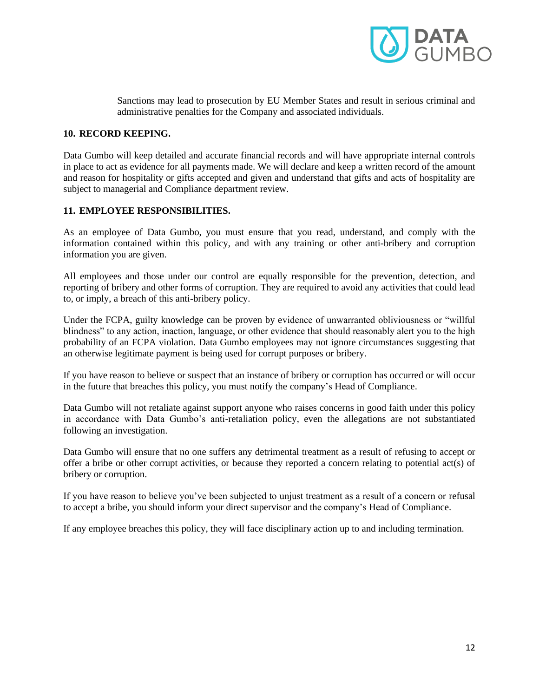

Sanctions may lead to prosecution by EU Member States and result in serious criminal and administrative penalties for the Company and associated individuals.

### **10. RECORD KEEPING.**

Data Gumbo will keep detailed and accurate financial records and will have appropriate internal controls in place to act as evidence for all payments made. We will declare and keep a written record of the amount and reason for hospitality or gifts accepted and given and understand that gifts and acts of hospitality are subject to managerial and Compliance department review.

### **11. EMPLOYEE RESPONSIBILITIES.**

As an employee of Data Gumbo, you must ensure that you read, understand, and comply with the information contained within this policy, and with any training or other anti-bribery and corruption information you are given.

All employees and those under our control are equally responsible for the prevention, detection, and reporting of bribery and other forms of corruption. They are required to avoid any activities that could lead to, or imply, a breach of this anti-bribery policy.

Under the FCPA, guilty knowledge can be proven by evidence of unwarranted obliviousness or "willful blindness" to any action, inaction, language, or other evidence that should reasonably alert you to the high probability of an FCPA violation. Data Gumbo employees may not ignore circumstances suggesting that an otherwise legitimate payment is being used for corrupt purposes or bribery.

If you have reason to believe or suspect that an instance of bribery or corruption has occurred or will occur in the future that breaches this policy, you must notify the company's Head of Compliance.

Data Gumbo will not retaliate against support anyone who raises concerns in good faith under this policy in accordance with Data Gumbo's anti-retaliation policy, even the allegations are not substantiated following an investigation.

Data Gumbo will ensure that no one suffers any detrimental treatment as a result of refusing to accept or offer a bribe or other corrupt activities, or because they reported a concern relating to potential act(s) of bribery or corruption.

If you have reason to believe you've been subjected to unjust treatment as a result of a concern or refusal to accept a bribe, you should inform your direct supervisor and the company's Head of Compliance.

If any employee breaches this policy, they will face disciplinary action up to and including termination.